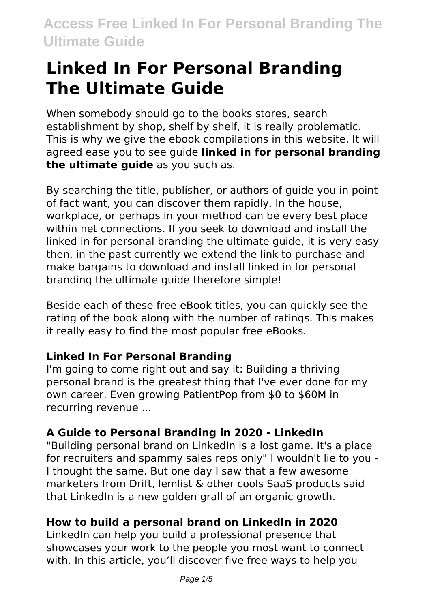# **Linked In For Personal Branding The Ultimate Guide**

When somebody should go to the books stores, search establishment by shop, shelf by shelf, it is really problematic. This is why we give the ebook compilations in this website. It will agreed ease you to see guide **linked in for personal branding the ultimate guide** as you such as.

By searching the title, publisher, or authors of guide you in point of fact want, you can discover them rapidly. In the house, workplace, or perhaps in your method can be every best place within net connections. If you seek to download and install the linked in for personal branding the ultimate guide, it is very easy then, in the past currently we extend the link to purchase and make bargains to download and install linked in for personal branding the ultimate guide therefore simple!

Beside each of these free eBook titles, you can quickly see the rating of the book along with the number of ratings. This makes it really easy to find the most popular free eBooks.

# **Linked In For Personal Branding**

I'm going to come right out and say it: Building a thriving personal brand is the greatest thing that I've ever done for my own career. Even growing PatientPop from \$0 to \$60M in recurring revenue ...

# **A Guide to Personal Branding in 2020 - LinkedIn**

"Building personal brand on LinkedIn is a lost game. It's a place for recruiters and spammy sales reps only" I wouldn't lie to you - I thought the same. But one day I saw that a few awesome marketers from Drift, lemlist & other cools SaaS products said that LinkedIn is a new golden grall of an organic growth.

# **How to build a personal brand on LinkedIn in 2020**

LinkedIn can help you build a professional presence that showcases your work to the people you most want to connect with. In this article, you'll discover five free ways to help you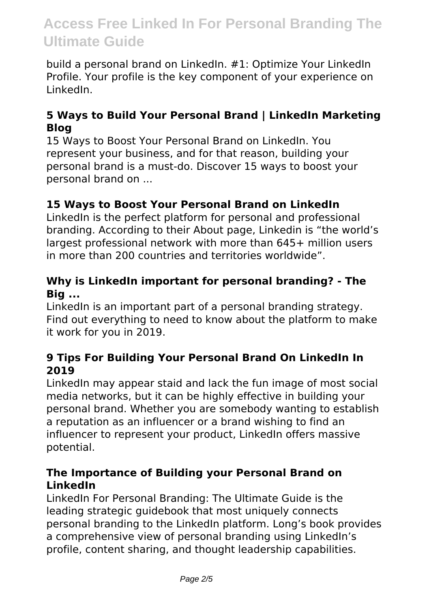build a personal brand on LinkedIn. #1: Optimize Your LinkedIn Profile. Your profile is the key component of your experience on LinkedIn.

# **5 Ways to Build Your Personal Brand | LinkedIn Marketing Blog**

15 Ways to Boost Your Personal Brand on LinkedIn. You represent your business, and for that reason, building your personal brand is a must-do. Discover 15 ways to boost your personal brand on ...

# **15 Ways to Boost Your Personal Brand on LinkedIn**

LinkedIn is the perfect platform for personal and professional branding. According to their About page, Linkedin is "the world's largest professional network with more than 645+ million users in more than 200 countries and territories worldwide".

# **Why is LinkedIn important for personal branding? - The Big ...**

LinkedIn is an important part of a personal branding strategy. Find out everything to need to know about the platform to make it work for you in 2019.

# **9 Tips For Building Your Personal Brand On LinkedIn In 2019**

LinkedIn may appear staid and lack the fun image of most social media networks, but it can be highly effective in building your personal brand. Whether you are somebody wanting to establish a reputation as an influencer or a brand wishing to find an influencer to represent your product, LinkedIn offers massive potential.

# **The Importance of Building your Personal Brand on LinkedIn**

LinkedIn For Personal Branding: The Ultimate Guide is the leading strategic guidebook that most uniquely connects personal branding to the LinkedIn platform. Long's book provides a comprehensive view of personal branding using LinkedIn's profile, content sharing, and thought leadership capabilities.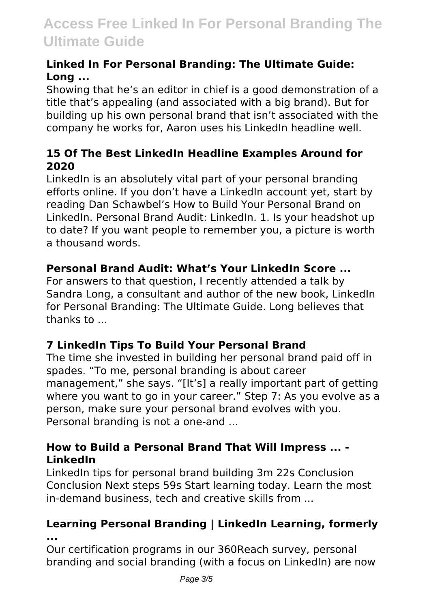# **Linked In For Personal Branding: The Ultimate Guide: Long ...**

Showing that he's an editor in chief is a good demonstration of a title that's appealing (and associated with a big brand). But for building up his own personal brand that isn't associated with the company he works for, Aaron uses his LinkedIn headline well.

# **15 Of The Best LinkedIn Headline Examples Around for 2020**

LinkedIn is an absolutely vital part of your personal branding efforts online. If you don't have a LinkedIn account yet, start by reading Dan Schawbel's How to Build Your Personal Brand on LinkedIn. Personal Brand Audit: LinkedIn. 1. Is your headshot up to date? If you want people to remember you, a picture is worth a thousand words.

# **Personal Brand Audit: What's Your LinkedIn Score ...**

For answers to that question, I recently attended a talk by Sandra Long, a consultant and author of the new book, LinkedIn for Personal Branding: The Ultimate Guide. Long believes that thanks to ...

# **7 LinkedIn Tips To Build Your Personal Brand**

The time she invested in building her personal brand paid off in spades. "To me, personal branding is about career management," she says. "[It's] a really important part of getting where you want to go in your career." Step 7: As you evolve as a person, make sure your personal brand evolves with you. Personal branding is not a one-and ...

# **How to Build a Personal Brand That Will Impress ... - LinkedIn**

LinkedIn tips for personal brand building 3m 22s Conclusion Conclusion Next steps 59s Start learning today. Learn the most in-demand business, tech and creative skills from ...

# **Learning Personal Branding | LinkedIn Learning, formerly ...**

Our certification programs in our 360Reach survey, personal branding and social branding (with a focus on LinkedIn) are now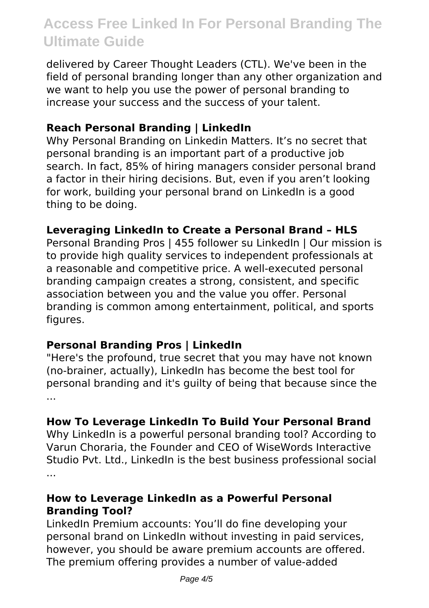delivered by Career Thought Leaders (CTL). We've been in the field of personal branding longer than any other organization and we want to help you use the power of personal branding to increase your success and the success of your talent.

# **Reach Personal Branding | LinkedIn**

Why Personal Branding on Linkedin Matters. It's no secret that personal branding is an important part of a productive job search. In fact, 85% of hiring managers consider personal brand a factor in their hiring decisions. But, even if you aren't looking for work, building your personal brand on LinkedIn is a good thing to be doing.

# **Leveraging LinkedIn to Create a Personal Brand – HLS**

Personal Branding Pros | 455 follower su LinkedIn | Our mission is to provide high quality services to independent professionals at a reasonable and competitive price. A well-executed personal branding campaign creates a strong, consistent, and specific association between you and the value you offer. Personal branding is common among entertainment, political, and sports figures.

# **Personal Branding Pros | LinkedIn**

"Here's the profound, true secret that you may have not known (no-brainer, actually), LinkedIn has become the best tool for personal branding and it's guilty of being that because since the ...

# **How To Leverage LinkedIn To Build Your Personal Brand**

Why LinkedIn is a powerful personal branding tool? According to Varun Choraria, the Founder and CEO of WiseWords Interactive Studio Pvt. Ltd., LinkedIn is the best business professional social ...

# **How to Leverage LinkedIn as a Powerful Personal Branding Tool?**

LinkedIn Premium accounts: You'll do fine developing your personal brand on LinkedIn without investing in paid services, however, you should be aware premium accounts are offered. The premium offering provides a number of value-added